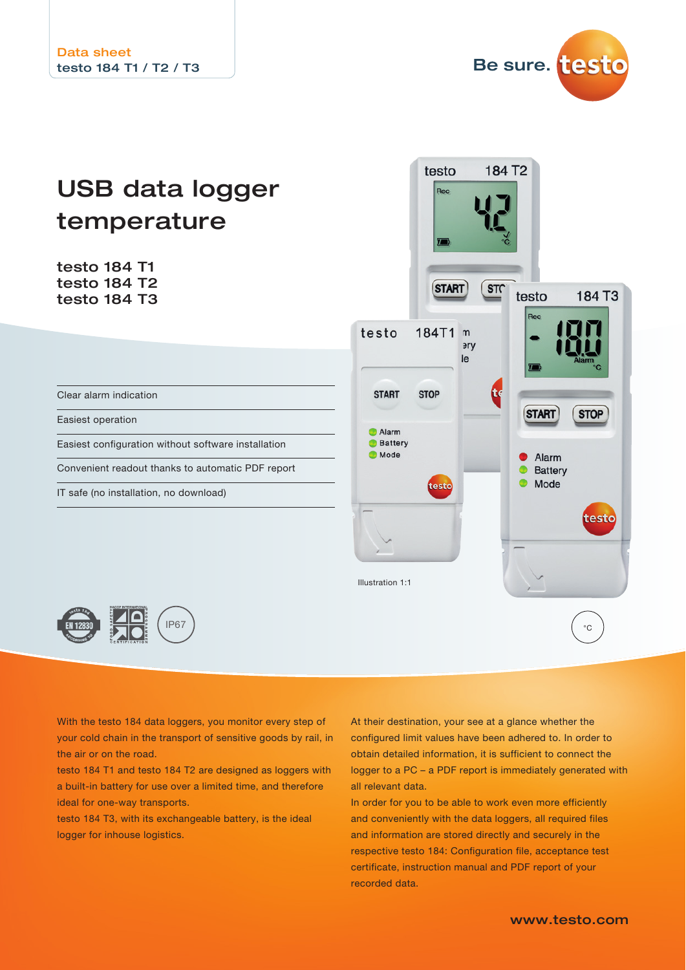

# USB data logger temperature

testo 184 T1 testo 184 T2 testo 184 T3

|                                                                                                  | $\overline{J}$                 | Č                                                         |                                                                    |                                                           |
|--------------------------------------------------------------------------------------------------|--------------------------------|-----------------------------------------------------------|--------------------------------------------------------------------|-----------------------------------------------------------|
| testo 184T1<br><b>START</b><br>Alarm<br><b>Battery</b><br><b>Mode</b><br><b>Illustration 1:1</b> | START)<br><b>STOP</b><br>testo | ST <sub>C</sub><br>$\mathsf{n}$<br><b>ery</b><br>le<br>tç | testo<br>Rec<br>$\sum$<br><b>START</b><br>Alarm<br>Battery<br>Mode | 184 T3<br>Alarm<br>$\overline{C}$<br><b>STOP</b><br>testo |
|                                                                                                  |                                |                                                           |                                                                    | $\circ$ C                                                 |

184 T<sub>2</sub>

testo

Rec

Clear alarm indication

Easiest operation

Easiest configuration without software installation

Convenient readout thanks to automatic PDF report

IP67

IT safe (no installation, no download)



With the testo 184 data loggers, you monitor every step of your cold chain in the transport of sensitive goods by rail, in the air or on the road.

testo 184 T1 and testo 184 T2 are designed as loggers with a built-in battery for use over a limited time, and therefore ideal for one-way transports.

testo 184 T3, with its exchangeable battery, is the ideal logger for inhouse logistics.

At their destination, your see at a glance whether the configured limit values have been adhered to. In order to obtain detailed information, it is sufficient to connect the logger to a PC – a PDF report is immediately generated with all relevant data.

In order for you to be able to work even more efficiently and conveniently with the data loggers, all required files and information are stored directly and securely in the respective testo 184: Configuration file, acceptance test certificate, instruction manual and PDF report of your recorded data.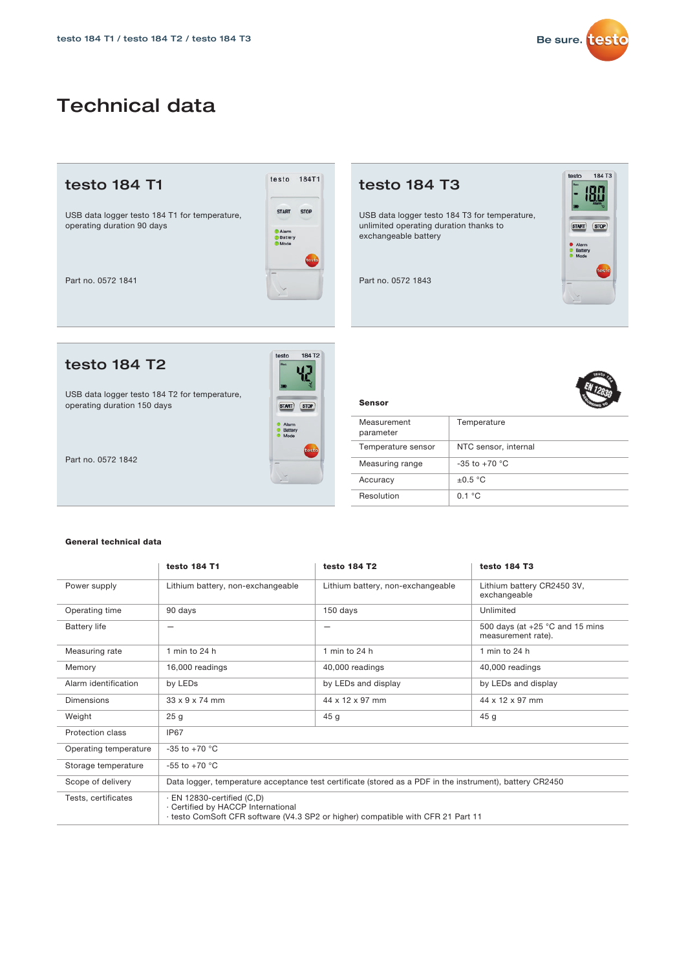

testo  $184T3$ 

START STOP

Alarm<br>
Battery<br>
Mode

180 ŀ

## Technical data

#### testo 184 T1

USB data logger testo 184 T1 for temperature, operating duration 90 days



Part no. 0572 1841

#### testo 184 T2

USB data logger testo 184 T2 for temperature, operating duration 150 days



184 T2

testo

Sensor

Part no. 0572 1842

#### General technical data

|                       | testo 184 T1                                                           | testo 184 T2                                                                                             | testo 184 T3                                            |
|-----------------------|------------------------------------------------------------------------|----------------------------------------------------------------------------------------------------------|---------------------------------------------------------|
| Power supply          | Lithium battery, non-exchangeable                                      | Lithium battery, non-exchangeable                                                                        | Lithium battery CR2450 3V,<br>exchangeable              |
| Operating time        | 90 days                                                                | 150 days                                                                                                 | Unlimited                                               |
| <b>Battery life</b>   | -                                                                      | -                                                                                                        | 500 days (at $+25$ °C and 15 mins<br>measurement rate). |
| Measuring rate        | 1 min to $24h$                                                         | 1 min to 24 h                                                                                            | 1 min to $24h$                                          |
| Memory                | 16,000 readings                                                        | 40,000 readings                                                                                          | 40,000 readings                                         |
| Alarm identification  | by LEDs                                                                | by LEDs and display                                                                                      | by LEDs and display                                     |
| Dimensions            | $33 \times 9 \times 74$ mm                                             | 44 x 12 x 97 mm                                                                                          | 44 x 12 x 97 mm                                         |
| Weight                | 25 <sub>g</sub>                                                        | 45 <sub>g</sub>                                                                                          | 45 <sub>g</sub>                                         |
| Protection class      | IP67                                                                   |                                                                                                          |                                                         |
| Operating temperature | $-35$ to $+70$ °C                                                      |                                                                                                          |                                                         |
| Storage temperature   | $-55$ to $+70$ °C                                                      |                                                                                                          |                                                         |
| Scope of delivery     |                                                                        | Data logger, temperature acceptance test certificate (stored as a PDF in the instrument), battery CR2450 |                                                         |
| Tests, certificates   | $\cdot$ EN 12830-certified (C,D)<br>· Certified by HACCP International | testo ComSoft CFR software (V4.3 SP2 or higher) compatible with CFR 21 Part 11                           |                                                         |



| Measurement<br>parameter | Temperature          |
|--------------------------|----------------------|
| Temperature sensor       | NTC sensor, internal |
| Measuring range          | $-35$ to $+70$ °C    |
| Accuracy                 | $\pm 0.5$ °C         |
| Resolution               | 0.1 °C               |

USB data logger testo 184 T3 for temperature, unlimited operating duration thanks to

exchangeable battery

testo 184 T3

Part no. 0572 1843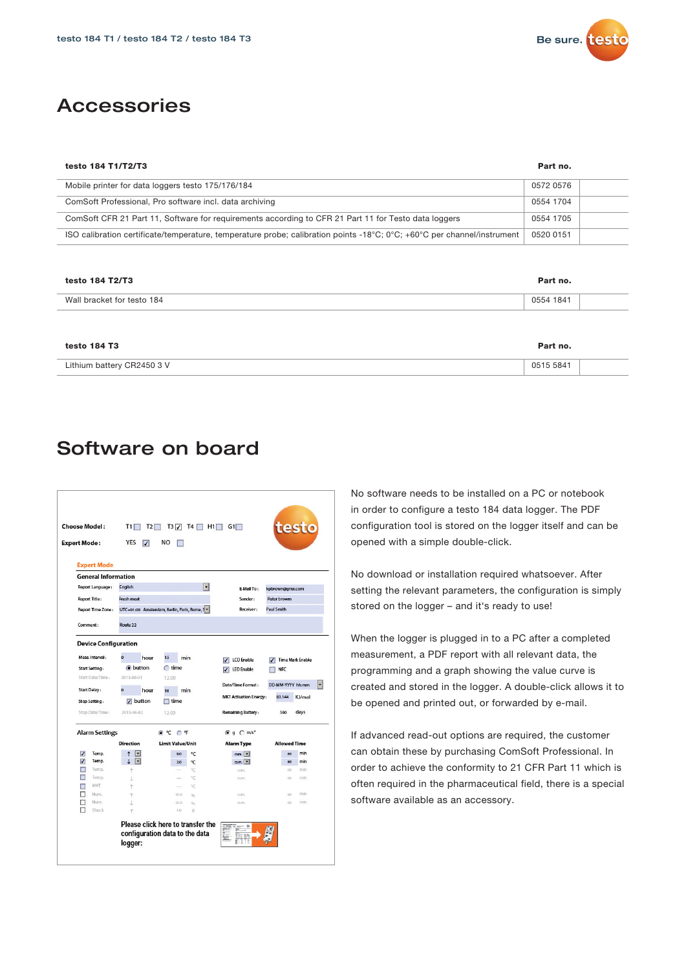

### Accessories

| testo 184 T1/T2/T3                                                                                                      | Part no.  |
|-------------------------------------------------------------------------------------------------------------------------|-----------|
| Mobile printer for data loggers testo 175/176/184                                                                       | 0572 0576 |
| ComSoft Professional, Pro software incl. data archiving                                                                 | 0554 1704 |
| ComSoft CFR 21 Part 11, Software for requirements according to CFR 21 Part 11 for Testo data loggers                    | 0554 1705 |
| ISO calibration certificate/temperature, temperature probe; calibration points -18°C; 0°C; +60°C per channel/instrument | 0520 0151 |
|                                                                                                                         |           |
| testo 184 T2/T3                                                                                                         | Part no.  |

| Wall bracket for testo 184 | 0554 1841 |
|----------------------------|-----------|
|                            |           |
| testo 184 T3               | Part no.  |
| Lithium battery CR2450 3 V | 0515 5841 |

### Software on board

| <b>Choose Model:</b><br><b>Expert Mode:</b>                                                                                                                   | T1 F<br>T2<br>YES<br>$\overline{ }$                                                              | $T3\sqrt{7}$<br>T4  <br>H1<br>NO                                          | G1                                                                                                                 |                                                 | testo                                          |  |
|---------------------------------------------------------------------------------------------------------------------------------------------------------------|--------------------------------------------------------------------------------------------------|---------------------------------------------------------------------------|--------------------------------------------------------------------------------------------------------------------|-------------------------------------------------|------------------------------------------------|--|
| <b>Expert Mode</b><br><b>General Information</b>                                                                                                              |                                                                                                  |                                                                           |                                                                                                                    |                                                 |                                                |  |
| Report Language:                                                                                                                                              | <b>English</b>                                                                                   | ٠                                                                         | <b>E-Mail To:</b>                                                                                                  |                                                 |                                                |  |
| <b>Report Title:</b>                                                                                                                                          | Fresh meat                                                                                       |                                                                           | Sender:                                                                                                            | Peter browm                                     | kpbrown@gmx.com                                |  |
| Report Time Zone:                                                                                                                                             |                                                                                                  |                                                                           | Receiver:                                                                                                          | <b>Paul Smith</b>                               |                                                |  |
| Comment:                                                                                                                                                      | UTC+01:00 Amsterdam, Berlin, Paris, Rome, S<br>Route 22                                          |                                                                           |                                                                                                                    |                                                 |                                                |  |
| <b>Device Configuration</b><br>Meas, Interval:<br><b>Start Setting:</b><br>Start Date/Time:<br><b>Start Delay:</b><br><b>Stop Setting:</b><br>Stop Date/Time: | $\overline{O}$<br>hour<br>o button<br>2013-09-01<br>0<br>hour<br>$\sqrt{ }$ button<br>2013-09-02 | 15<br>min<br>$\bigcap$ time<br>12:00<br>min<br>10<br>$\Box$ time<br>12:00 | <b>LCD</b> Enable<br><b>LED Enable</b><br>Date/Time Format:<br><b>MKT Activation Energy:</b><br>Remaining Battery: | <b>NFC</b><br>DD-MM-YYYY hh:mm<br>83.144<br>500 | <b>Time Mark Enable</b><br>H<br>KJ/mol<br>days |  |
| <b>Alarm Settings</b>                                                                                                                                         |                                                                                                  | © ℃ C F                                                                   | @ q @ m/s <sup>2</sup>                                                                                             |                                                 |                                                |  |
|                                                                                                                                                               | <b>Direction</b>                                                                                 | Limit Value/Unit                                                          | <b>Alarm Type</b>                                                                                                  | <b>Allowed Time</b>                             |                                                |  |
| Temp.<br>V                                                                                                                                                    | F                                                                                                | 8.0<br>°C                                                                 | cum.                                                                                                               | 60                                              | min                                            |  |
| Temp.<br>⊽<br>Temp.                                                                                                                                           | E                                                                                                | 20<br>٩C                                                                  | cum.                                                                                                               | 60                                              | min<br>min                                     |  |
| Temp.                                                                                                                                                         |                                                                                                  | °C<br>°C                                                                  | cum.<br>cum.                                                                                                       | 60<br>$60 -$                                    | min                                            |  |
| MKT                                                                                                                                                           | ÷                                                                                                | °C                                                                        |                                                                                                                    |                                                 |                                                |  |
| п<br>Hum.                                                                                                                                                     | Ť                                                                                                | 40.0<br>96                                                                | cum.                                                                                                               | 60                                              | min                                            |  |
| Hum.<br>Shock                                                                                                                                                 | $\uparrow$                                                                                       | 20.0<br>96<br>4.0<br>$\mathcal{Q}$                                        | cum.                                                                                                               | 60                                              | min                                            |  |
|                                                                                                                                                               | logger:                                                                                          | Please click here to transfer the<br>configuration data to the data       | $\Theta$                                                                                                           |                                                 |                                                |  |

No software needs to be installed on a PC or notebook in order to configure a testo 184 data logger. The PDF configuration tool is stored on the logger itself and can be opened with a simple double-click.

No download or installation required whatsoever. After setting the relevant parameters, the configuration is simply stored on the logger – and it's ready to use!

When the logger is plugged in to a PC after a completed measurement, a PDF report with all relevant data, the programming and a graph showing the value curve is created and stored in the logger. A double-click allows it to be opened and printed out, or forwarded by e-mail.

If advanced read-out options are required, the customer can obtain these by purchasing ComSoft Professional. In order to achieve the conformity to 21 CFR Part 11 which is often required in the pharmaceutical field, there is a special software available as an accessory.